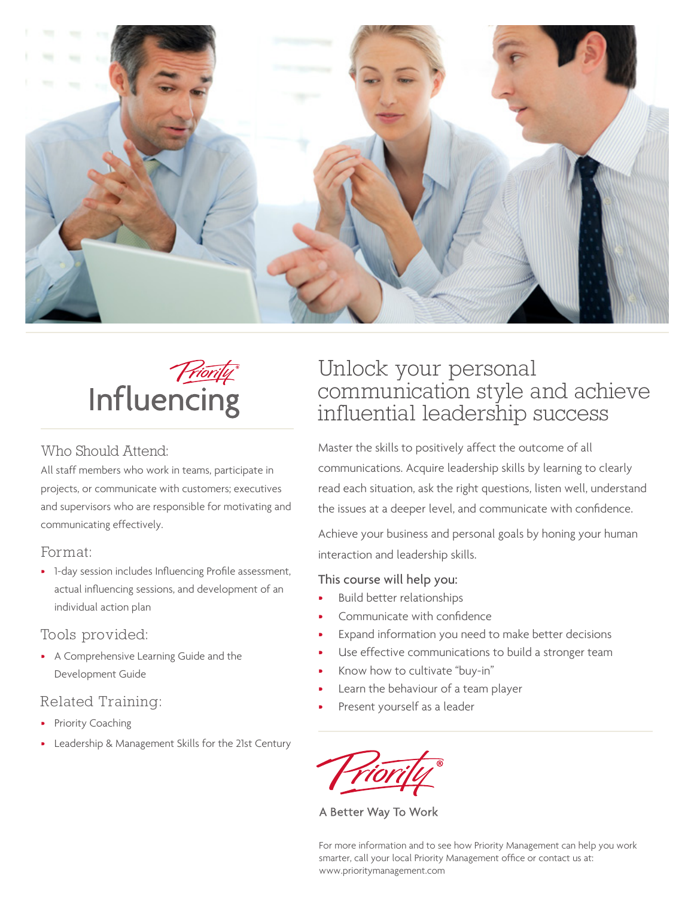



#### Who Should Attend:

All staff members who work in teams, participate in projects, or communicate with customers; executives and supervisors who are responsible for motivating and communicating effectively.

#### Format:

• 1-day session includes Influencing Profile assessment, actual influencing sessions, and development of an individual action plan

#### Tools provided:

• A Comprehensive Learning Guide and the Development Guide

### Related Training:

- Priority Coaching
- Leadership & Management Skills for the 21st Century

# Unlock your personal communication style and achieve influential leadership success

Master the skills to positively affect the outcome of all communications. Acquire leadership skills by learning to clearly read each situation, ask the right questions, listen well, understand the issues at a deeper level, and communicate with confidence.

Achieve your business and personal goals by honing your human interaction and leadership skills.

#### This course will help you:

- Build better relationships
- Communicate with confidence
- Expand information you need to make better decisions
- Use effective communications to build a stronger team
- Know how to cultivate "buy-in"
- Learn the behaviour of a team player
- Present yourself as a leader

A Better Way To Work

For more information and to see how Priority Management can help you work smarter, call your local Priority Management office or contact us at: www.prioritymanagement.com